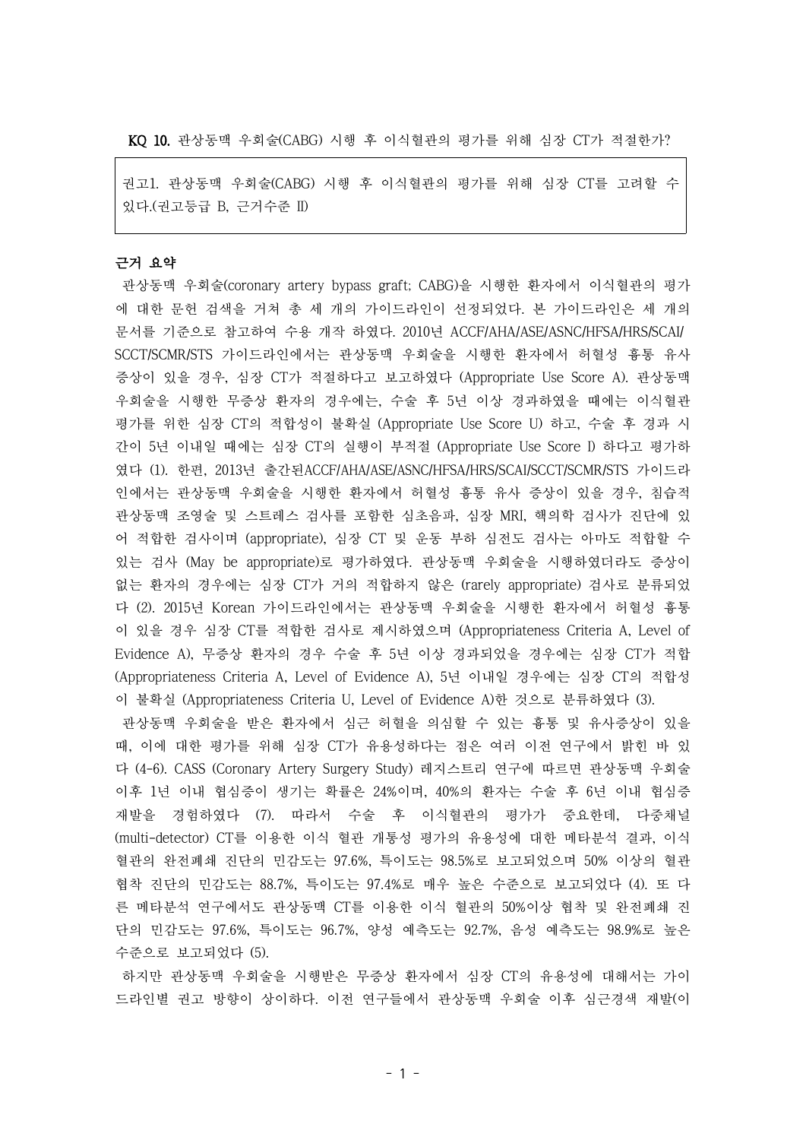KQ 10. 관상동맥 우회술(CABG) 시행 후 이식혈관의 평가를 위해 심장 CT가 적절한가?

권고1. 관상동맥 우회술(CABG) 시행 후 이식혈관의 평가를 위해 심장 CT를 고려할 수 있다.(권고등급 B, 근거수준 II)

### 근거 요약

관상동맥 우회술(coronary artery bypass graft; CABG)을 시행한 환자에서 이식혈관의 평가 에 대한 문헌 검색을 거쳐 총 세 개의 가이드라인이 선정되었다. 본 가이드라인은 세 개의 문서를 기준으로 참고하여 수용 개작 하였다. 2010년 ACCF/AHA/ASE/ASNC/HFSA/HRS/SCAI/ SCCT/SCMR/STS 가이드라인에서는 관상동맥 우회술을 시행한 환자에서 허혈성 흉통 유사 증상이 있을 경우, 심장 CT가 적절하다고 보고하였다 (Appropriate Use Score A). 관상동맥 우회술을 시행한 무증상 환자의 경우에는, 수술 후 5년 이상 경과하였을 때에는 이식혈관 평가를 위한 심장 CT의 적합성이 불확실 (Appropriate Use Score U) 하고, 수술 후 경과 시 간이 5년 이내일 때에는 심장 CT의 실행이 부적절 (Appropriate Use Score I) 하다고 평가하 였다 (1). 한편, 2013년 출간된ACCF/AHA/ASE/ASNC/HFSA/HRS/SCAI/SCCT/SCMR/STS 가이드라 인에서는 관상동맥 우회술을 시행한 환자에서 허혈성 흉통 유사 증상이 있을 경우, 침습적 관상동맥 조영술 및 스트레스 검사를 포함한 심초음파, 심장 MRI, 핵의학 검사가 진단에 있 어 적합한 검사이며 (appropriate), 심장 CT 및 운동 부하 심전도 검사는 아마도 적합할 수 있는 검사 (May be appropriate)로 평가하였다. 관상동맥 우회술을 시행하였더라도 증상이 없는 환자의 경우에는 심장 CT가 거의 적합하지 않은 (rarely appropriate) 검사로 분류되었 다 (2). 2015년 Korean 가이드라인에서는 관상동맥 우회술을 시행한 환자에서 허혈성 흉통 이 있을 경우 심장 CT를 적합한 검사로 제시하였으며 (Appropriateness Criteria A, Level of Evidence A), 무증상 환자의 경우 수술 후 5년 이상 경과되었을 경우에는 심장 CT가 적합 (Appropriateness Criteria A, Level of Evidence A), 5년 이내일 경우에는 심장 CT의 적합성 이 불확실 (Appropriateness Criteria U, Level of Evidence A)한 것으로 분류하였다 (3).

관상동맥 우회술을 받은 환자에서 심근 허혈을 의심할 수 있는 흉통 및 유사증상이 있을 때, 이에 대한 평가를 위해 심장 CT가 유용성하다는 점은 여러 이전 연구에서 밝힌 바 있 다 (4-6). CASS (Coronary Artery Surgery Study) 레지스트리 연구에 따르면 관상동맥 우회술 이후 1년 이내 협심증이 생기는 확률은 24%이며, 40%의 환자는 수술 후 6년 이내 협심증 재발을 경험하였다 (7). 따라서 수술 후 이식혈관의 평가가 중요한데, 다중채널 (multi-detector) CT를 이용한 이식 혈관 개통성 평가의 유용성에 대한 메타분석 결과, 이식 혈관의 완전폐쇄 진단의 민감도는 97.6%, 특이도는 98.5%로 보고되었으며 50% 이상의 혈관 협착 진단의 민감도는 88.7%, 특이도는 97.4%로 매우 높은 수준으로 보고되었다 (4). 또 다 른 메타분석 연구에서도 관상동맥 CT를 이용한 이식 혈관의 50%이상 협착 및 완전폐쇄 진 단의 민감도는 97.6%, 특이도는 96.7%, 양성 예측도는 92.7%, 음성 예측도는 98.9%로 높은 수준으로 보고되었다 (5).

하지만 관상동맥 우회술을 시행받은 무증상 환자에서 심장 CT의 유용성에 대해서는 가이 드라인별 권고 방향이 상이하다. 이전 연구들에서 관상동맥 우회술 이후 심근경색 재발(이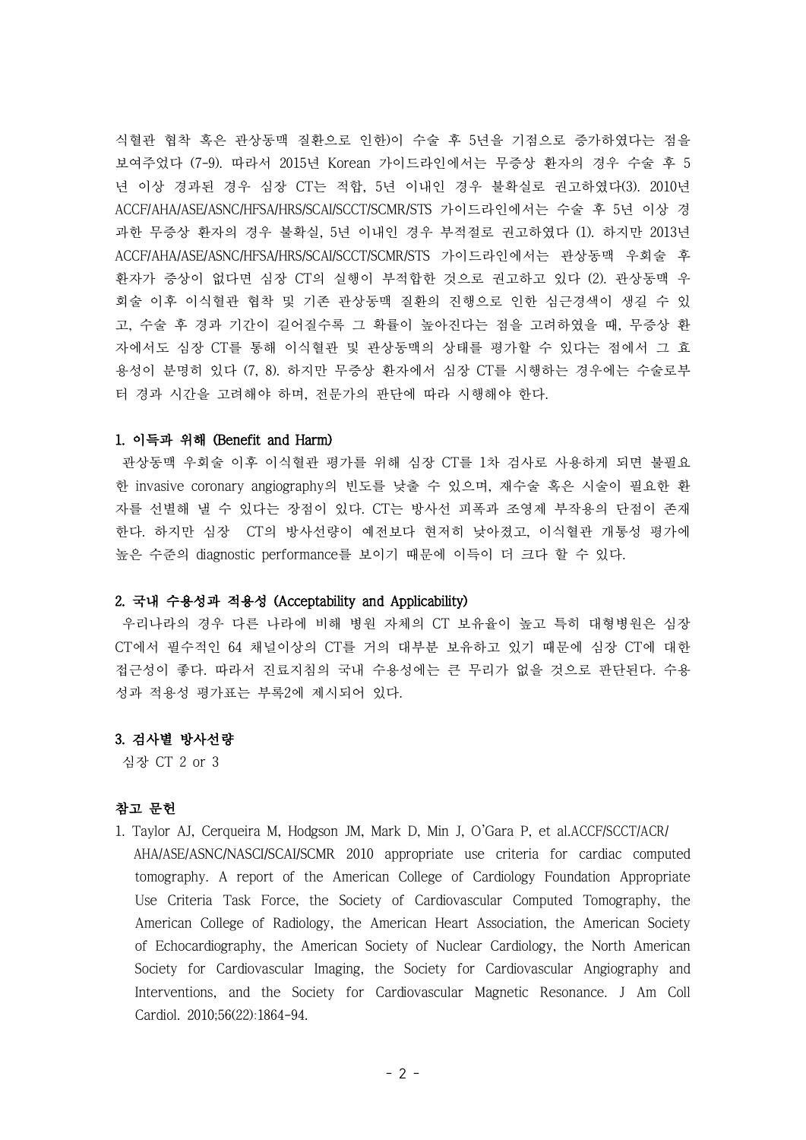식혈관 협착 혹은 관상동맥 질환으로 인한)이 수술 후 5년을 기점으로 증가하였다는 점을 보여주었다 (7-9). 따라서 2015년 Korean 가이드라인에서는 무증상 환자의 경우 수술 후 5 년 이상 경과된 경우 심장 CT는 적합, 5년 이내인 경우 불확실로 권고하였다(3). 2010년 ACCF/AHA/ASE/ASNC/HFSA/HRS/SCAI/SCCT/SCMR/STS 가이드라인에서는 수술 후 5년 이상 경 과한 무증상 환자의 경우 불확실, 5년 이내인 경우 부적절로 권고하였다 (1). 하지만 2013년 ACCF/AHA/ASE/ASNC/HFSA/HRS/SCAI/SCCT/SCMR/STS 가이드라인에서는 관상동맥 우회술 후 환자가 증상이 없다면 심장 CT의 실행이 부적합한 것으로 권고하고 있다 (2). 관상동맥 우 회술 이후 이식혈관 협착 및 기존 관상동맥 질환의 진행으로 인한 심근경색이 생길 수 있 고, 수술 후 경과 기간이 길어질수록 그 확률이 높아진다는 점을 고려하였을 때, 무증상 환 자에서도 심장 CT를 통해 이식혈관 및 관상동맥의 상태를 평가할 수 있다는 점에서 그 효 용성이 분명히 있다 (7, 8). 하지만 무증상 환자에서 심장 CT를 시행하는 경우에는 수술로부 터 경과 시간을 고려해야 하며, 전문가의 판단에 따라 시행해야 한다.

### 1. 이득과 위해 (Benefit and Harm)

관상동맥 우회술 이후 이식혈관 평가를 위해 심장 CT를 1차 검사로 사용하게 되면 불필요 한 invasive coronary angiography의 빈도를 낮출 수 있으며, 재수술 혹은 시술이 필요한 환 자를 선별해 낼 수 있다는 장점이 있다. CT는 방사선 피폭과 조영제 부작용의 단점이 존재 한다. 하지만 심장 CT의 방사선량이 예전보다 현저히 낮아졌고, 이식혈관 개통성 평가에 높은 수준의 diagnostic performance를 보이기 때문에 이득이 더 크다 할 수 있다.

### 2. 국내 수용성과 적용성 (Acceptability and Applicability)

우리나라의 경우 다른 나라에 비해 병원 자체의 CT 보유율이 높고 특히 대형병원은 심장 CT에서 필수적인 64 채널이상의 CT를 거의 대부분 보유하고 있기 때문에 심장 CT에 대한 접근성이 좋다. 따라서 진료지침의 국내 수용성에는 큰 무리가 없을 것으로 판단된다. 수용 성과 적용성 평가표는 부록2에 제시되어 있다.

# 3. 검사별 방사선량

심장 CT 2 or 3

# 참고 문헌

1. Taylor AJ, Cerqueira M, Hodgson JM, Mark D, Min J, O'Gara P, et al.ACCF/SCCT/ACR/ AHA/ASE/ASNC/NASCI/SCAI/SCMR 2010 appropriate use criteria for cardiac computed tomography. A report of the American College of Cardiology Foundation Appropriate Use Criteria Task Force, the Society of Cardiovascular Computed Tomography, the American College of Radiology, the American Heart Association, the American Society of Echocardiography, the American Society of Nuclear Cardiology, the North American Society for Cardiovascular Imaging, the Society for Cardiovascular Angiography and Interventions, and the Society for Cardiovascular Magnetic Resonance. J Am Coll Cardiol. 2010;56(22):1864-94.